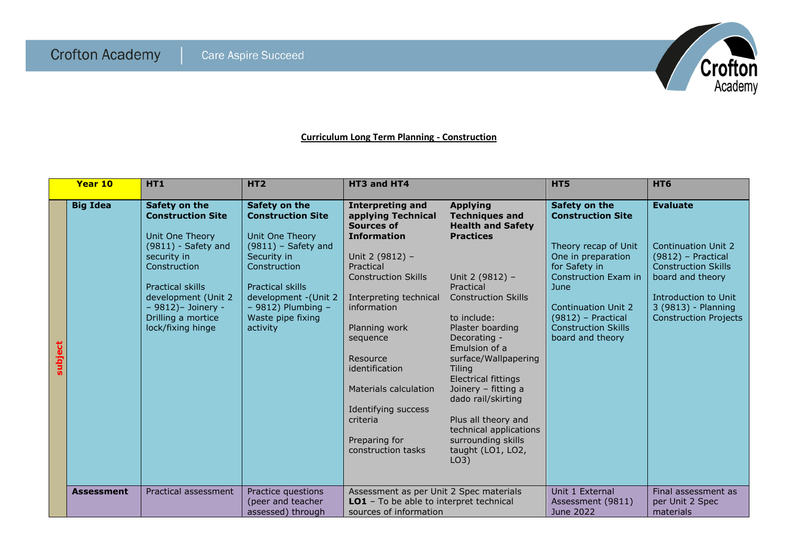

## **Curriculum Long Term Planning - Construction**

|         | Year 10           | HT1                                                                                                                                                                                                                                         | HT <sub>2</sub>                                                                                                                                                                                                                      | HT3 and HT4                                                                                                                                                                                                                                                                                                                                            |                                                                                                                                                                                                                                                                                                                                                                                                                                             | HT5                                                                                                                                                                                                                                              | HT6                                                                                                                                                                                                    |
|---------|-------------------|---------------------------------------------------------------------------------------------------------------------------------------------------------------------------------------------------------------------------------------------|--------------------------------------------------------------------------------------------------------------------------------------------------------------------------------------------------------------------------------------|--------------------------------------------------------------------------------------------------------------------------------------------------------------------------------------------------------------------------------------------------------------------------------------------------------------------------------------------------------|---------------------------------------------------------------------------------------------------------------------------------------------------------------------------------------------------------------------------------------------------------------------------------------------------------------------------------------------------------------------------------------------------------------------------------------------|--------------------------------------------------------------------------------------------------------------------------------------------------------------------------------------------------------------------------------------------------|--------------------------------------------------------------------------------------------------------------------------------------------------------------------------------------------------------|
| subject | <b>Big Idea</b>   | Safety on the<br><b>Construction Site</b><br>Unit One Theory<br>$(9811)$ - Safety and<br>security in<br>Construction<br><b>Practical skills</b><br>development (Unit 2)<br>$-9812$ ) - Joinery -<br>Drilling a mortice<br>lock/fixing hinge | Safety on the<br><b>Construction Site</b><br>Unit One Theory<br>$(9811)$ – Safety and<br>Security in<br>Construction<br><b>Practical skills</b><br>development - (Unit 2)<br>$-9812$ ) Plumbing $-$<br>Waste pipe fixing<br>activity | <b>Interpreting and</b><br>applying Technical<br>Sources of<br><b>Information</b><br>Unit 2 (9812) -<br>Practical<br><b>Construction Skills</b><br>Interpreting technical<br>information<br>Planning work<br>sequence<br>Resource<br>identification<br>Materials calculation<br>Identifying success<br>criteria<br>Preparing for<br>construction tasks | <b>Applying</b><br><b>Techniques and</b><br><b>Health and Safety</b><br><b>Practices</b><br>Unit 2 (9812) -<br>Practical<br><b>Construction Skills</b><br>to include:<br>Plaster boarding<br>Decorating -<br>Emulsion of a<br>surface/Wallpapering<br>Tiling<br><b>Electrical fittings</b><br>Joinery - fitting a<br>dado rail/skirting<br>Plus all theory and<br>technical applications<br>surrounding skills<br>taught (LO1, LO2,<br>LO3) | Safety on the<br><b>Construction Site</b><br>Theory recap of Unit<br>One in preparation<br>for Safety in<br>Construction Exam in<br>June<br><b>Continuation Unit 2</b><br>$(9812)$ – Practical<br><b>Construction Skills</b><br>board and theory | <b>Evaluate</b><br><b>Continuation Unit 2</b><br>$(9812)$ – Practical<br><b>Construction Skills</b><br>board and theory<br>Introduction to Unit<br>3 (9813) - Planning<br><b>Construction Projects</b> |
|         | <b>Assessment</b> | Practical assessment                                                                                                                                                                                                                        | Practice questions<br>(peer and teacher<br>assessed) through                                                                                                                                                                         | Assessment as per Unit 2 Spec materials<br>LO1 - To be able to interpret technical<br>sources of information                                                                                                                                                                                                                                           |                                                                                                                                                                                                                                                                                                                                                                                                                                             | Unit 1 External<br>Assessment (9811)<br>June 2022                                                                                                                                                                                                | Final assessment as<br>per Unit 2 Spec<br>materials                                                                                                                                                    |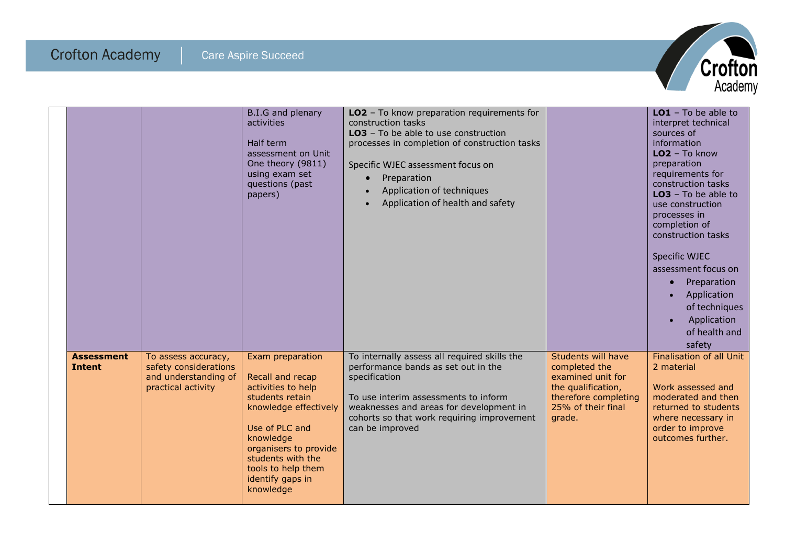

|                                    |                                                                                            | B.I.G and plenary<br>activities<br>Half term<br>assessment on Unit<br>One theory (9811)<br>using exam set<br>questions (past<br>papers)                                                                                                    | LO2 - To know preparation requirements for<br>construction tasks<br>LO3 - To be able to use construction<br>processes in completion of construction tasks<br>Specific WJEC assessment focus on<br>Preparation<br>Application of techniques<br>$\bullet$<br>Application of health and safety<br>$\bullet$ |                                                                                                                                        | $LO1$ - To be able to<br>interpret technical<br>sources of<br>information<br>$LO2 - To know$<br>preparation<br>requirements for<br>construction tasks<br>$LO3 - To be able to$<br>use construction<br>processes in<br>completion of<br>construction tasks<br><b>Specific WJEC</b><br>assessment focus on<br>Preparation<br>$\bullet$<br>Application<br>$\bullet$<br>of techniques<br>Application<br>$\bullet$<br>of health and<br>safety |
|------------------------------------|--------------------------------------------------------------------------------------------|--------------------------------------------------------------------------------------------------------------------------------------------------------------------------------------------------------------------------------------------|----------------------------------------------------------------------------------------------------------------------------------------------------------------------------------------------------------------------------------------------------------------------------------------------------------|----------------------------------------------------------------------------------------------------------------------------------------|------------------------------------------------------------------------------------------------------------------------------------------------------------------------------------------------------------------------------------------------------------------------------------------------------------------------------------------------------------------------------------------------------------------------------------------|
| <b>Assessment</b><br><b>Intent</b> | To assess accuracy,<br>safety considerations<br>and understanding of<br>practical activity | Exam preparation<br>Recall and recap<br>activities to help<br>students retain<br>knowledge effectively<br>Use of PLC and<br>knowledge<br>organisers to provide<br>students with the<br>tools to help them<br>identify gaps in<br>knowledge | To internally assess all required skills the<br>performance bands as set out in the<br>specification<br>To use interim assessments to inform<br>weaknesses and areas for development in<br>cohorts so that work requiring improvement<br>can be improved                                                 | Students will have<br>completed the<br>examined unit for<br>the qualification,<br>therefore completing<br>25% of their final<br>grade. | <b>Finalisation of all Unit</b><br>2 material<br>Work assessed and<br>moderated and then<br>returned to students<br>where necessary in<br>order to improve<br>outcomes further.                                                                                                                                                                                                                                                          |